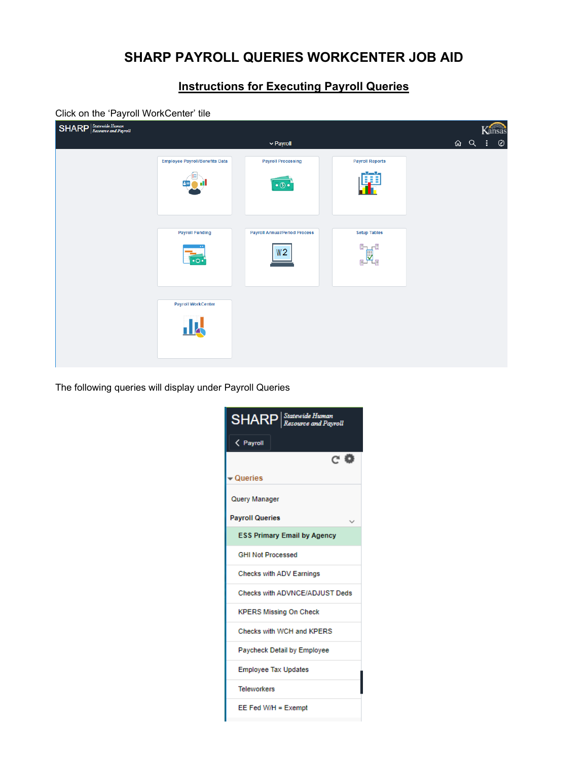## **SHARP PAYROLL QUERIES WORKCENTER JOB AID**

## **Instructions for Executing Payroll Queries**

## Click on the 'Payroll WorkCenter' tile

| $\text{SHARP}\left \frac{\textit{Statewide Human}}{\textit{Resource and Payment}}\right $ |                                       |                                      |                        |              | Kansas  |
|-------------------------------------------------------------------------------------------|---------------------------------------|--------------------------------------|------------------------|--------------|---------|
|                                                                                           |                                       | $\vee$ Payroll                       |                        | <b>△ 〇 :</b> | $\odot$ |
|                                                                                           | <b>Employee Payroll/Benefits Data</b> | <b>Payroll Processing</b>            | <b>Payroll Reports</b> |              |         |
|                                                                                           |                                       | $\bullet$ $\circ$                    | ΩÎ                     |              |         |
|                                                                                           | <b>Payroll Funding</b>                | <b>Payroll Annual/Period Process</b> | <b>Setup Tables</b>    |              |         |
|                                                                                           | $\cdot$ o $\cdot$                     | W2                                   | B.<br>田<br>叟<br>卧<br>∼ |              |         |
|                                                                                           | <b>Payroll WorkCenter</b>             |                                      |                        |              |         |
|                                                                                           | <u> 114</u>                           |                                      |                        |              |         |

The following queries will display under Payroll Queries

| <b>SHARP</b> Statewide Human<br>Resource and Pavroll |
|------------------------------------------------------|
| < Payroll                                            |
| C' O                                                 |
| Queries                                              |
| Query Manager                                        |
| <b>Payroll Queries</b>                               |
| <b>ESS Primary Email by Agency</b>                   |
| <b>GHI Not Processed</b>                             |
| <b>Checks with ADV Earnings</b>                      |
| Checks with ADVNCE/ADJUST Deds                       |
| <b>KPERS Missing On Check</b>                        |
| Checks with WCH and KPERS                            |
| <b>Paycheck Detail by Employee</b>                   |
| <b>Employee Tax Updates</b>                          |
| <b>Teleworkers</b>                                   |
| $EE$ Fed W/H = Exempt                                |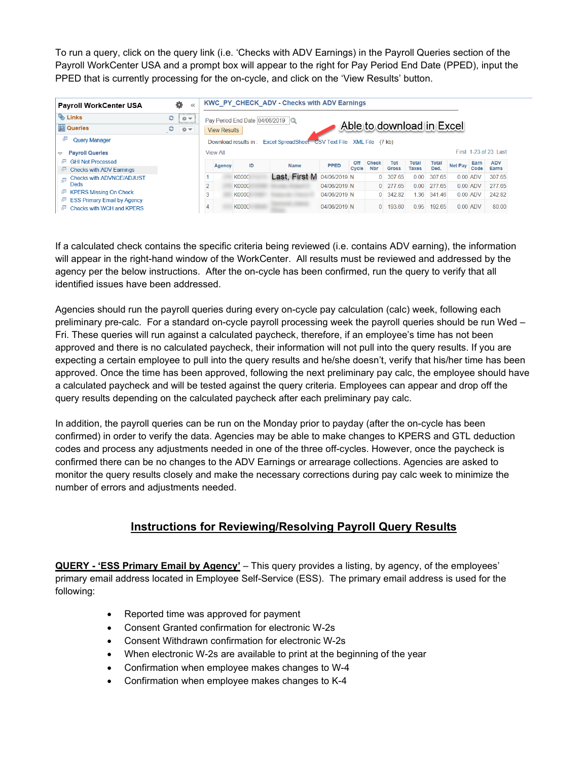To run a query, click on the query link (i.e. 'Checks with ADV Earnings) in the Payroll Queries section of the Payroll WorkCenter USA and a prompt box will appear to the right for Pay Period End Date (PPED), input the PPED that is currently processing for the on-cycle, and click on the 'View Results' button.

| <b>Payroll WorkCenter USA</b>                                                                                                           | 츣                 |                 |                     |                                  | <b>KWC PY CHECK ADV - Checks with ADV Earnings</b>                   |              |                     |                            |                            |                              |                      |                |              |                            |
|-----------------------------------------------------------------------------------------------------------------------------------------|-------------------|-----------------|---------------------|----------------------------------|----------------------------------------------------------------------|--------------|---------------------|----------------------------|----------------------------|------------------------------|----------------------|----------------|--------------|----------------------------|
| <b>&amp;</b> Links<br><b>Queries</b>                                                                                                    | c<br>$\circ$<br>c |                 |                     | Pay Period End Date 04/06/2019 Q |                                                                      |              |                     |                            | Able to download in Excel  |                              |                      |                |              |                            |
| Ð<br><b>Query Manager</b><br><b>Pavroll Queries</b><br>Δ                                                                                | ◎▼                | <b>View All</b> | <b>View Results</b> |                                  | Download results in: Excel SpreadSheet CSV Text File XML File (7 kb) |              |                     |                            |                            |                              |                      |                |              | First 1-23 of 23 Last      |
| æ<br><b>GHI Not Processed</b><br><b>Checks with ADV Earnings</b><br>e                                                                   |                   |                 | Agency              | ID                               | <b>Name</b>                                                          | <b>PPED</b>  | <b>Off</b><br>Cycle | <b>Check</b><br><b>Nbr</b> | <b>Tot</b><br><b>Gross</b> | <b>Total</b><br><b>Taxes</b> | <b>Total</b><br>Ded. | <b>Net Pay</b> | Earn<br>Code | <b>ADV</b><br><b>Earns</b> |
| <b>Checks with ADVNCE/ADJUST</b><br>ĻП,<br><b>Deds</b><br><b>KPERS Missing On Check</b><br>e<br><b>ESS Primary Email by Agency</b><br>æ |                   |                 |                     | <b>K0000</b>                     | Last, First M_04/06/2019 N                                           |              |                     | $\Omega$                   | 307.65                     | 0.00                         | 307.65               |                | $0.00$ ADV   | 307.65                     |
|                                                                                                                                         |                   | $\overline{2}$  |                     | K0000                            |                                                                      | 04/06/2019 N |                     | $\Omega$                   | 277 65                     | 0.00                         | 277 65               |                | $0.00$ ADV   | 27765                      |
|                                                                                                                                         |                   | 3               |                     | <b>K0000</b>                     |                                                                      | 04/06/2019 N |                     | $\Omega$                   | 342.82                     | 1 36                         | 34146                |                | $0.00$ ADV   | 242.82                     |
| Checks with WCH and KPFRS                                                                                                               |                   | 4               |                     | K0000                            |                                                                      | 04/06/2019 N |                     | $\Omega$                   | 193.60                     | 0.95                         | 192.65               |                | $0.00$ ADV   | 80.00                      |

If a calculated check contains the specific criteria being reviewed (i.e. contains ADV earning), the information will appear in the right-hand window of the WorkCenter. All results must be reviewed and addressed by the agency per the below instructions. After the on-cycle has been confirmed, run the query to verify that all identified issues have been addressed.

Agencies should run the payroll queries during every on-cycle pay calculation (calc) week, following each preliminary pre-calc. For a standard on-cycle payroll processing week the payroll queries should be run Wed – Fri. These queries will run against a calculated paycheck, therefore, if an employee's time has not been approved and there is no calculated paycheck, their information will not pull into the query results. If you are expecting a certain employee to pull into the query results and he/she doesn't, verify that his/her time has been approved. Once the time has been approved, following the next preliminary pay calc, the employee should have a calculated paycheck and will be tested against the query criteria. Employees can appear and drop off the query results depending on the calculated paycheck after each preliminary pay calc.

In addition, the payroll queries can be run on the Monday prior to payday (after the on-cycle has been confirmed) in order to verify the data. Agencies may be able to make changes to KPERS and GTL deduction codes and process any adjustments needed in one of the three off-cycles. However, once the paycheck is confirmed there can be no changes to the ADV Earnings or arrearage collections. Agencies are asked to monitor the query results closely and make the necessary corrections during pay calc week to minimize the number of errors and adjustments needed.

## **Instructions for Reviewing/Resolving Payroll Query Results**

**QUERY - 'ESS Primary Email by Agency'** – This query provides a listing, by agency, of the employees' primary email address located in Employee Self-Service (ESS). The primary email address is used for the following:

- Reported time was approved for payment
- Consent Granted confirmation for electronic W-2s
- Consent Withdrawn confirmation for electronic W-2s
- When electronic W-2s are available to print at the beginning of the year
- Confirmation when employee makes changes to W-4
- Confirmation when employee makes changes to K-4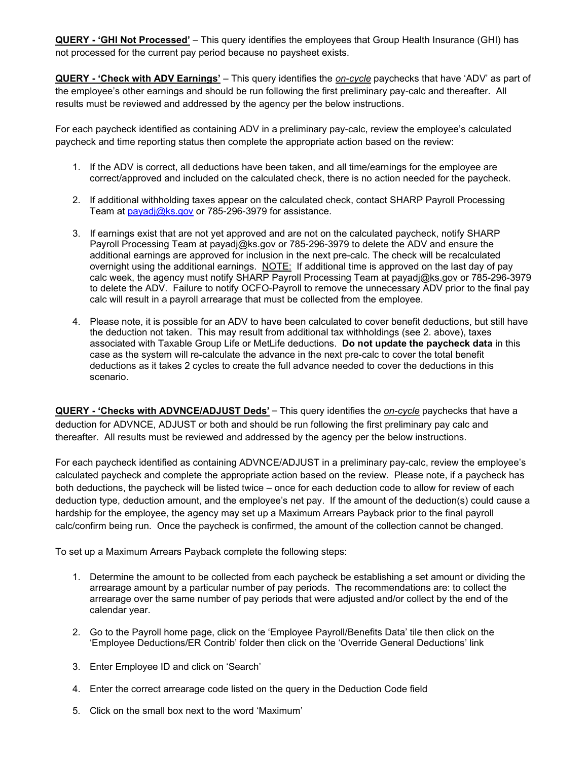**QUERY - 'GHI Not Processed'** – This query identifies the employees that Group Health Insurance (GHI) has not processed for the current pay period because no paysheet exists.

**QUERY - 'Check with ADV Earnings'** – This query identifies the *on-cycle* paychecks that have 'ADV' as part of the employee's other earnings and should be run following the first preliminary pay-calc and thereafter. All results must be reviewed and addressed by the agency per the below instructions.

For each paycheck identified as containing ADV in a preliminary pay-calc, review the employee's calculated paycheck and time reporting status then complete the appropriate action based on the review:

- 1. If the ADV is correct, all deductions have been taken, and all time/earnings for the employee are correct/approved and included on the calculated check, there is no action needed for the paycheck.
- 2. If additional withholding taxes appear on the calculated check, contact SHARP Payroll Processing Team at [payadj@ks.gov](mailto:payadj@ks.gov) or 785-296-3979 for assistance.
- 3. If earnings exist that are not yet approved and are not on the calculated paycheck, notify SHARP Payroll Processing Team at [payadj@ks.gov](mailto:payadj@ks.gov) or 785-296-3979 to delete the ADV and ensure the additional earnings are approved for inclusion in the next pre-calc. The check will be recalculated overnight using the additional earnings. NOTE: If additional time is approved on the last day of pay calc week, the agency must notify SHARP Payroll Processing Team at [payadj@ks.gov](mailto:payadj@ks.gov) or 785-296-3979 to delete the ADV. Failure to notify OCFO-Payroll to remove the unnecessary ADV prior to the final pay calc will result in a payroll arrearage that must be collected from the employee.
- 4. Please note, it is possible for an ADV to have been calculated to cover benefit deductions, but still have the deduction not taken. This may result from additional tax withholdings (see 2. above), taxes associated with Taxable Group Life or MetLife deductions. **Do not update the paycheck data** in this case as the system will re-calculate the advance in the next pre-calc to cover the total benefit deductions as it takes 2 cycles to create the full advance needed to cover the deductions in this scenario.

**QUERY - 'Checks with ADVNCE/ADJUST Deds'** – This query identifies the *on-cycle* paychecks that have a deduction for ADVNCE, ADJUST or both and should be run following the first preliminary pay calc and thereafter. All results must be reviewed and addressed by the agency per the below instructions.

For each paycheck identified as containing ADVNCE/ADJUST in a preliminary pay-calc, review the employee's calculated paycheck and complete the appropriate action based on the review. Please note, if a paycheck has both deductions, the paycheck will be listed twice – once for each deduction code to allow for review of each deduction type, deduction amount, and the employee's net pay. If the amount of the deduction(s) could cause a hardship for the employee, the agency may set up a Maximum Arrears Payback prior to the final payroll calc/confirm being run. Once the paycheck is confirmed, the amount of the collection cannot be changed.

To set up a Maximum Arrears Payback complete the following steps:

- 1. Determine the amount to be collected from each paycheck be establishing a set amount or dividing the arrearage amount by a particular number of pay periods. The recommendations are: to collect the arrearage over the same number of pay periods that were adjusted and/or collect by the end of the calendar year.
- 2. Go to the Payroll home page, click on the 'Employee Payroll/Benefits Data' tile then click on the 'Employee Deductions/ER Contrib' folder then click on the 'Override General Deductions' link
- 3. Enter Employee ID and click on 'Search'
- 4. Enter the correct arrearage code listed on the query in the Deduction Code field
- 5. Click on the small box next to the word 'Maximum'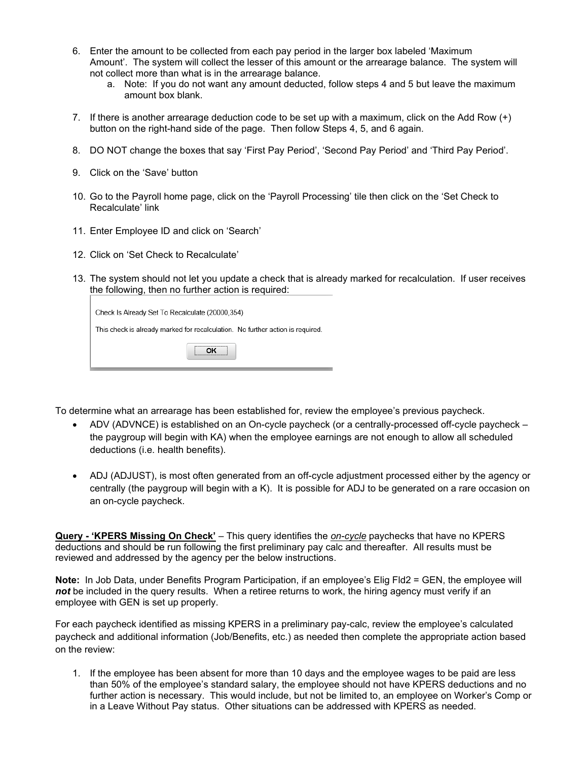- 6. Enter the amount to be collected from each pay period in the larger box labeled 'Maximum Amount'. The system will collect the lesser of this amount or the arrearage balance. The system will not collect more than what is in the arrearage balance.
	- a. Note: If you do not want any amount deducted, follow steps 4 and 5 but leave the maximum amount box blank.
- 7. If there is another arrearage deduction code to be set up with a maximum, click on the Add Row (+) button on the right-hand side of the page. Then follow Steps 4, 5, and 6 again.
- 8. DO NOT change the boxes that say 'First Pay Period', 'Second Pay Period' and 'Third Pay Period'.
- 9. Click on the 'Save' button
- 10. Go to the Payroll home page, click on the 'Payroll Processing' tile then click on the 'Set Check to Recalculate' link
- 11. Enter Employee ID and click on 'Search'
- 12. Click on 'Set Check to Recalculate'
- 13. The system should not let you update a check that is already marked for recalculation. If user receives the following, then no further action is required:

| Check Is Already Set To Recalculate (20000,354)                                |
|--------------------------------------------------------------------------------|
| This check is already marked for recalculation. No further action is required. |
|                                                                                |

To determine what an arrearage has been established for, review the employee's previous paycheck.

- ADV (ADVNCE) is established on an On-cycle paycheck (or a centrally-processed off-cycle paycheck the paygroup will begin with KA) when the employee earnings are not enough to allow all scheduled deductions (i.e. health benefits).
- ADJ (ADJUST), is most often generated from an off-cycle adjustment processed either by the agency or centrally (the paygroup will begin with a K). It is possible for ADJ to be generated on a rare occasion on an on-cycle paycheck.

**Query - 'KPERS Missing On Check'** – This query identifies the *on-cycle* paychecks that have no KPERS deductions and should be run following the first preliminary pay calc and thereafter. All results must be reviewed and addressed by the agency per the below instructions.

**Note:** In Job Data, under Benefits Program Participation, if an employee's Elig Fld2 = GEN, the employee will not be included in the query results. When a retiree returns to work, the hiring agency must verify if an employee with GEN is set up properly.

For each paycheck identified as missing KPERS in a preliminary pay-calc, review the employee's calculated paycheck and additional information (Job/Benefits, etc.) as needed then complete the appropriate action based on the review:

1. If the employee has been absent for more than 10 days and the employee wages to be paid are less than 50% of the employee's standard salary, the employee should not have KPERS deductions and no further action is necessary. This would include, but not be limited to, an employee on Worker's Comp or in a Leave Without Pay status. Other situations can be addressed with KPERS as needed.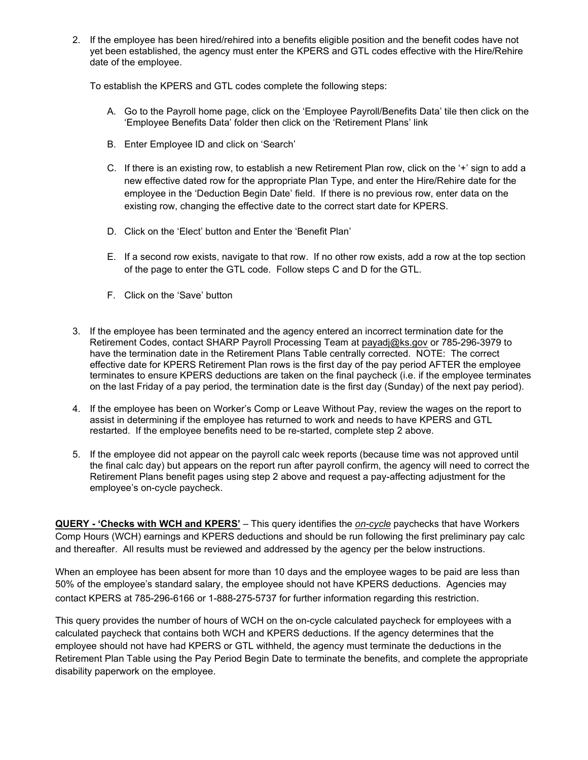2. If the employee has been hired/rehired into a benefits eligible position and the benefit codes have not yet been established, the agency must enter the KPERS and GTL codes effective with the Hire/Rehire date of the employee.

To establish the KPERS and GTL codes complete the following steps:

- A. Go to the Payroll home page, click on the 'Employee Payroll/Benefits Data' tile then click on the 'Employee Benefits Data' folder then click on the 'Retirement Plans' link
- B. Enter Employee ID and click on 'Search'
- C. If there is an existing row, to establish a new Retirement Plan row, click on the '+' sign to add a new effective dated row for the appropriate Plan Type, and enter the Hire/Rehire date for the employee in the 'Deduction Begin Date' field. If there is no previous row, enter data on the existing row, changing the effective date to the correct start date for KPERS.
- D. Click on the 'Elect' button and Enter the 'Benefit Plan'
- E. If a second row exists, navigate to that row. If no other row exists, add a row at the top section of the page to enter the GTL code. Follow steps C and D for the GTL.
- F. Click on the 'Save' button
- 3. If the employee has been terminated and the agency entered an incorrect termination date for the Retirement Codes, contact SHARP Payroll Processing Team at [payadj@ks.gov](mailto:payadj@ks.gov) or 785-296-3979 to have the termination date in the Retirement Plans Table centrally corrected. NOTE: The correct effective date for KPERS Retirement Plan rows is the first day of the pay period AFTER the employee terminates to ensure KPERS deductions are taken on the final paycheck (i.e. if the employee terminates on the last Friday of a pay period, the termination date is the first day (Sunday) of the next pay period).
- 4. If the employee has been on Worker's Comp or Leave Without Pay, review the wages on the report to assist in determining if the employee has returned to work and needs to have KPERS and GTL restarted. If the employee benefits need to be re-started, complete step 2 above.
- 5. If the employee did not appear on the payroll calc week reports (because time was not approved until the final calc day) but appears on the report run after payroll confirm, the agency will need to correct the Retirement Plans benefit pages using step 2 above and request a pay-affecting adjustment for the employee's on-cycle paycheck.

**QUERY - 'Checks with WCH and KPERS'** – This query identifies the *on-cycle* paychecks that have Workers Comp Hours (WCH) earnings and KPERS deductions and should be run following the first preliminary pay calc and thereafter. All results must be reviewed and addressed by the agency per the below instructions.

When an employee has been absent for more than 10 days and the employee wages to be paid are less than 50% of the employee's standard salary, the employee should not have KPERS deductions. Agencies may contact KPERS at 785-296-6166 or 1-888-275-5737 for further information regarding this restriction.

This query provides the number of hours of WCH on the on-cycle calculated paycheck for employees with a calculated paycheck that contains both WCH and KPERS deductions. If the agency determines that the employee should not have had KPERS or GTL withheld, the agency must terminate the deductions in the Retirement Plan Table using the Pay Period Begin Date to terminate the benefits, and complete the appropriate disability paperwork on the employee.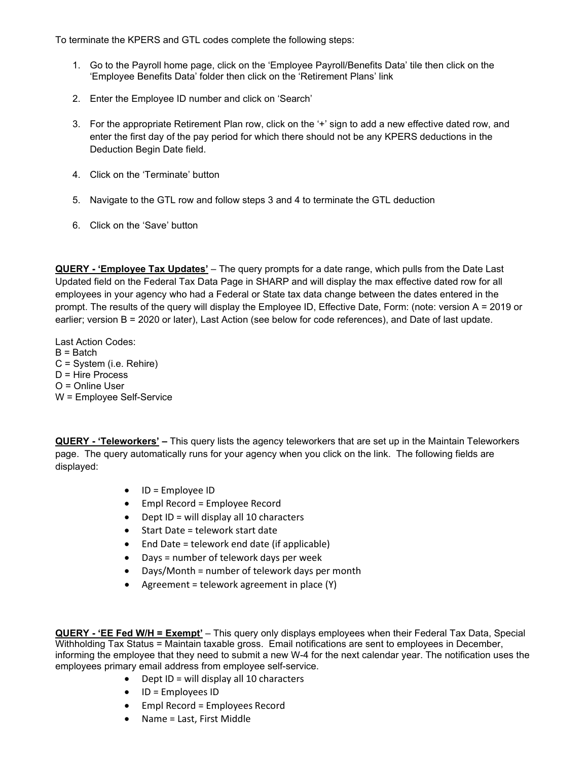To terminate the KPERS and GTL codes complete the following steps:

- 1. Go to the Payroll home page, click on the 'Employee Payroll/Benefits Data' tile then click on the 'Employee Benefits Data' folder then click on the 'Retirement Plans' link
- 2. Enter the Employee ID number and click on 'Search'
- 3. For the appropriate Retirement Plan row, click on the '+' sign to add a new effective dated row, and enter the first day of the pay period for which there should not be any KPERS deductions in the Deduction Begin Date field.
- 4. Click on the 'Terminate' button
- 5. Navigate to the GTL row and follow steps 3 and 4 to terminate the GTL deduction
- 6. Click on the 'Save' button

**QUERY - 'Employee Tax Updates'** – The query prompts for a date range, which pulls from the Date Last Updated field on the Federal Tax Data Page in SHARP and will display the max effective dated row for all employees in your agency who had a Federal or State tax data change between the dates entered in the prompt. The results of the query will display the Employee ID, Effective Date, Form: (note: version A = 2019 or earlier; version B = 2020 or later), Last Action (see below for code references), and Date of last update.

Last Action Codes:  $B =$  Batch C = System (i.e. Rehire) D = Hire Process O = Online User W = Employee Self-Service

**QUERY - 'Teleworkers' –** This query lists the agency teleworkers that are set up in the Maintain Teleworkers page. The query automatically runs for your agency when you click on the link. The following fields are displayed:

- ID = Employee ID
- Empl Record = Employee Record
- Dept ID = will display all 10 characters
- Start Date = telework start date
- End Date = telework end date (if applicable)
- Days = number of telework days per week
- Days/Month = number of telework days per month
- Agreement = telework agreement in place (Y)

**QUERY - 'EE Fed W/H = Exempt'** – This query only displays employees when their Federal Tax Data, Special Withholding Tax Status = Maintain taxable gross. Email notifications are sent to employees in December, informing the employee that they need to submit a new W-4 for the next calendar year. The notification uses the employees primary email address from employee self-service.

- $\bullet$  Dept ID = will display all 10 characters
- ID = Employees ID
- Empl Record = Employees Record
- Name = Last, First Middle